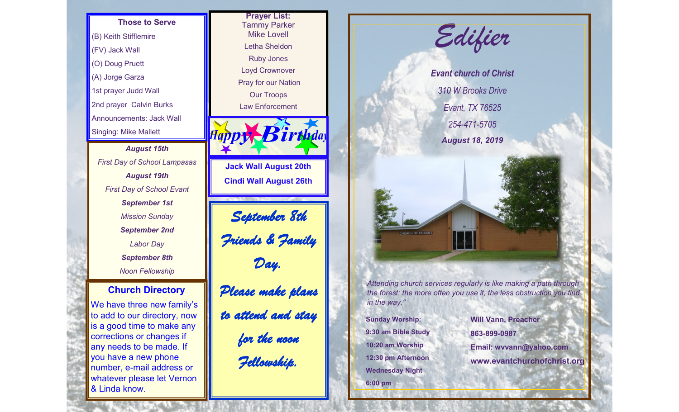**Those to Serve** (B) Keith Stifflemire (FV) Jack Wall (O) Doug Pruett (A) Jorge Garza 1st prayer Judd Wall 2nd prayer Calvin Burks Announcements: Jack Wall Singing: Mike Mallett

*August 15th First Day of School Lampasas August 19th First Day of School Evant September 1st Mission Sunday September 2nd Labor Day September 8th Noon Fellowship*

## **Church Directory**

We have three new family's to add to our directory, now is a good time to make any corrections or changes if any needs to be made. If you have a new phone number, e-mail address or whatever please let Vernon & Linda know.





**9:30 am Bible Study 10:20 am Worship 12:30 pm Afternoon Wednesday Night 6:00 pm**

**863-899-0987 Email: wvvann@yahoo.com www.evantchurchofchrist.org**